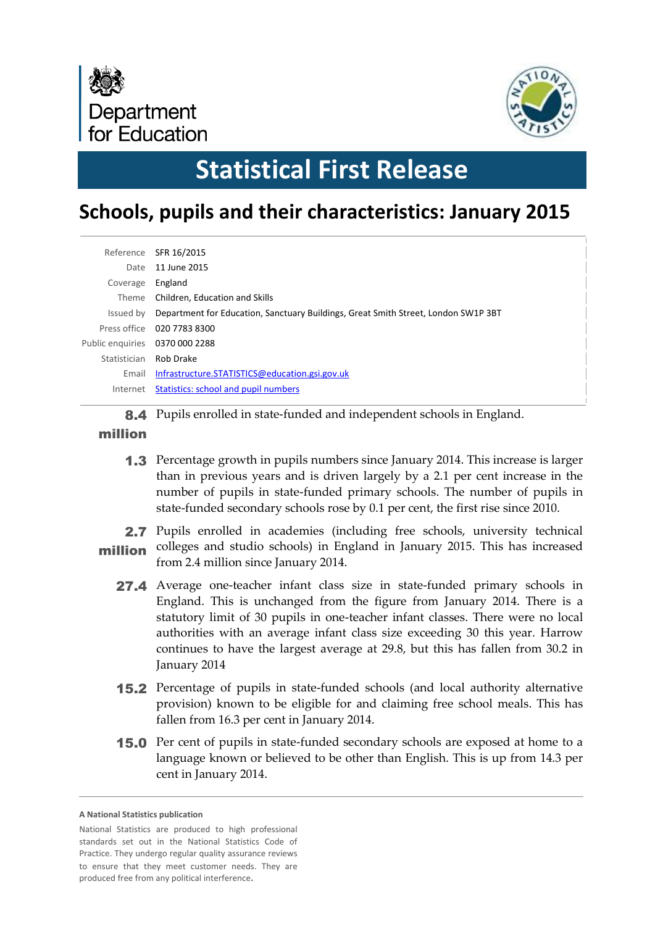



# **Statistical First Release**

# **Schools, pupils and their characteristics: January 2015**

|                               | Reference SFR 16/2015                                                              |
|-------------------------------|------------------------------------------------------------------------------------|
| Date                          | 11 June 2015                                                                       |
| Coverage                      | England                                                                            |
| Theme                         | Children, Education and Skills                                                     |
| Issued by                     | Department for Education, Sanctuary Buildings, Great Smith Street, London SW1P 3BT |
|                               | Press office 020 7783 8300                                                         |
| Public enguiries 0370000 2288 |                                                                                    |
| Statistician Rob Drake        |                                                                                    |
| Email                         | Infrastructure.STATISTICS@education.gsi.gov.uk                                     |
| Internet                      | Statistics: school and pupil numbers                                               |
|                               |                                                                                    |

8.4 Pupils enrolled in state-funded and independent schools in England.

#### million

1.3 Percentage growth in pupils numbers since January 2014. This increase is larger than in previous years and is driven largely by a 2.1 per cent increase in the number of pupils in state-funded primary schools. The number of pupils in state-funded secondary schools rose by 0.1 per cent, the first rise since 2010.

2.7 Pupils enrolled in academies (including free schools, university technical **million** colleges and studio schools) in England in January 2015. This has increased from 2.4 million since January 2014.

- 27.4 Average one-teacher infant class size in state-funded primary schools in England. This is unchanged from the figure from January 2014. There is a statutory limit of 30 pupils in one-teacher infant classes. There were no local authorities with an average infant class size exceeding 30 this year. Harrow continues to have the largest average at 29.8, but this has fallen from 30.2 in January 2014
- 15.2 Percentage of pupils in state-funded schools (and local authority alternative provision) known to be eligible for and claiming free school meals. This has fallen from 16.3 per cent in January 2014.
- 15.0 Per cent of pupils in state-funded secondary schools are exposed at home to a language known or believed to be other than English. This is up from 14.3 per cent in January 2014.

**A National Statistics publication** 

National Statistics are produced to high professional standards set out in the National Statistics Code of Practice. They undergo regular quality assurance reviews to ensure that they meet customer needs. They are produced free from any political interference**.**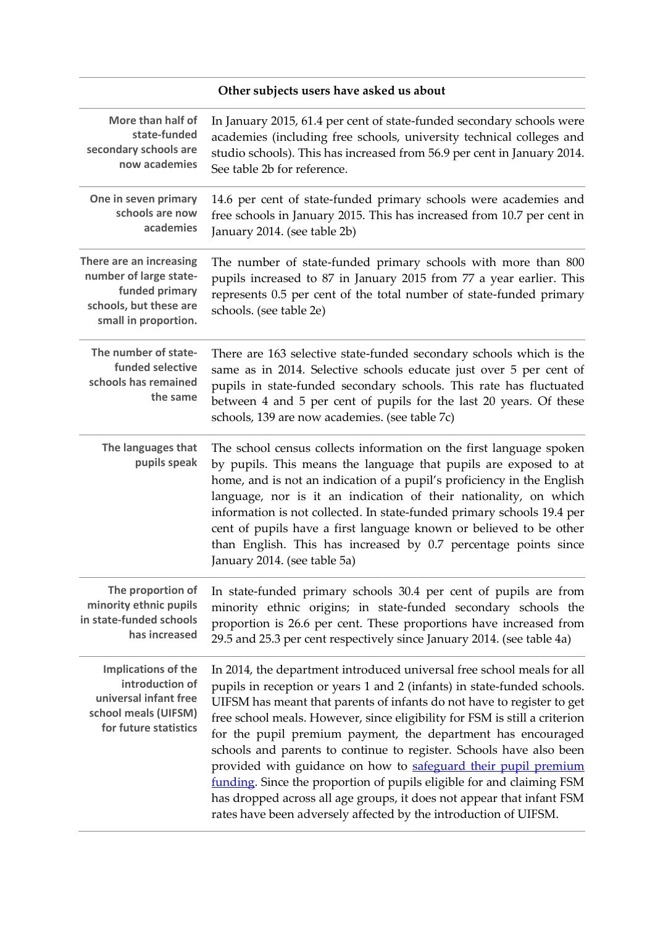### **Other subjects users have asked us about**

| More than half of<br>state-funded<br>secondary schools are<br>now academies                                           | In January 2015, 61.4 per cent of state-funded secondary schools were<br>academies (including free schools, university technical colleges and<br>studio schools). This has increased from 56.9 per cent in January 2014.<br>See table 2b for reference.                                                                                                                                                                                                                                                                                                                                                                                                                                                                                  |
|-----------------------------------------------------------------------------------------------------------------------|------------------------------------------------------------------------------------------------------------------------------------------------------------------------------------------------------------------------------------------------------------------------------------------------------------------------------------------------------------------------------------------------------------------------------------------------------------------------------------------------------------------------------------------------------------------------------------------------------------------------------------------------------------------------------------------------------------------------------------------|
| One in seven primary<br>schools are now<br>academies                                                                  | 14.6 per cent of state-funded primary schools were academies and<br>free schools in January 2015. This has increased from 10.7 per cent in<br>January 2014. (see table 2b)                                                                                                                                                                                                                                                                                                                                                                                                                                                                                                                                                               |
| There are an increasing<br>number of large state-<br>funded primary<br>schools, but these are<br>small in proportion. | The number of state-funded primary schools with more than 800<br>pupils increased to 87 in January 2015 from 77 a year earlier. This<br>represents 0.5 per cent of the total number of state-funded primary<br>schools. (see table 2e)                                                                                                                                                                                                                                                                                                                                                                                                                                                                                                   |
| The number of state-<br>funded selective<br>schools has remained<br>the same                                          | There are 163 selective state-funded secondary schools which is the<br>same as in 2014. Selective schools educate just over 5 per cent of<br>pupils in state-funded secondary schools. This rate has fluctuated<br>between 4 and 5 per cent of pupils for the last 20 years. Of these<br>schools, 139 are now academies. (see table 7c)                                                                                                                                                                                                                                                                                                                                                                                                  |
| The languages that<br>pupils speak                                                                                    | The school census collects information on the first language spoken<br>by pupils. This means the language that pupils are exposed to at<br>home, and is not an indication of a pupil's proficiency in the English<br>language, nor is it an indication of their nationality, on which<br>information is not collected. In state-funded primary schools 19.4 per<br>cent of pupils have a first language known or believed to be other<br>than English. This has increased by 0.7 percentage points since<br>January 2014. (see table 5a)                                                                                                                                                                                                 |
| The proportion of<br>minority ethnic pupils<br>in state-funded schools<br>has increased                               | In state-funded primary schools 30.4 per cent of pupils are from<br>minority ethnic origins; in state-funded secondary schools the<br>proportion is 26.6 per cent. These proportions have increased from<br>29.5 and 25.3 per cent respectively since January 2014. (see table 4a)                                                                                                                                                                                                                                                                                                                                                                                                                                                       |
| Implications of the<br>introduction of<br>universal infant free<br>school meals (UIFSM)<br>for future statistics      | In 2014, the department introduced universal free school meals for all<br>pupils in reception or years 1 and 2 (infants) in state-funded schools.<br>UIFSM has meant that parents of infants do not have to register to get<br>free school meals. However, since eligibility for FSM is still a criterion<br>for the pupil premium payment, the department has encouraged<br>schools and parents to continue to register. Schools have also been<br>provided with guidance on how to safeguard their pupil premium<br>funding. Since the proportion of pupils eligible for and claiming FSM<br>has dropped across all age groups, it does not appear that infant FSM<br>rates have been adversely affected by the introduction of UIFSM. |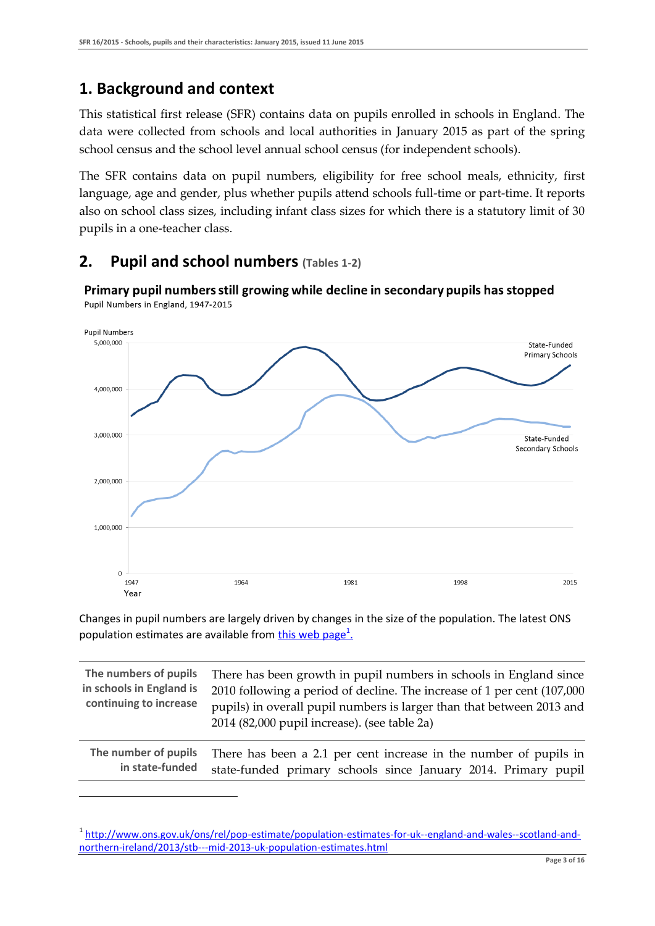### **1. Background and context**

1

This statistical first release (SFR) contains data on pupils enrolled in schools in England. The data were collected from schools and local authorities in January 2015 as part of the spring school census and the school level annual school census (for independent schools).

The SFR contains data on pupil numbers, eligibility for free school meals, ethnicity, first language, age and gender, plus whether pupils attend schools full-time or part-time. It reports also on school class sizes, including infant class sizes for which there is a statutory limit of 30 pupils in a one-teacher class.

### **2. Pupil and school numbers (Tables 1-2)**



Primary pupil numbers still growing while decline in secondary pupils has stopped Pupil Numbers in England, 1947-2015

Changes in pupil numbers are largely driven by changes in the size of the population. The latest ONS population estimates are available from *this web page<sup>1</sup>.* 

| The numbers of pupils<br>in schools in England is<br>continuing to increase | There has been growth in pupil numbers in schools in England since<br>2010 following a period of decline. The increase of 1 per cent (107,000<br>pupils) in overall pupil numbers is larger than that between 2013 and<br>2014 (82,000 pupil increase). (see table 2a) |
|-----------------------------------------------------------------------------|------------------------------------------------------------------------------------------------------------------------------------------------------------------------------------------------------------------------------------------------------------------------|
| The number of pupils                                                        | There has been a 2.1 per cent increase in the number of pupils in                                                                                                                                                                                                      |
| in state-funded                                                             | state-funded primary schools since January 2014. Primary pupil                                                                                                                                                                                                         |

<sup>&</sup>lt;sup>1</sup> [http://www.ons.gov.uk/ons/rel/pop-estimate/population-estimates-for-uk--england-and-wales--scotland-and](http://www.ons.gov.uk/ons/rel/pop-estimate/population-estimates-for-uk--england-and-wales--scotland-and-northern-ireland/2013/stb---mid-2013-uk-population-estimates.html)[northern-ireland/2013/stb---mid-2013-uk-population-estimates.html](http://www.ons.gov.uk/ons/rel/pop-estimate/population-estimates-for-uk--england-and-wales--scotland-and-northern-ireland/2013/stb---mid-2013-uk-population-estimates.html)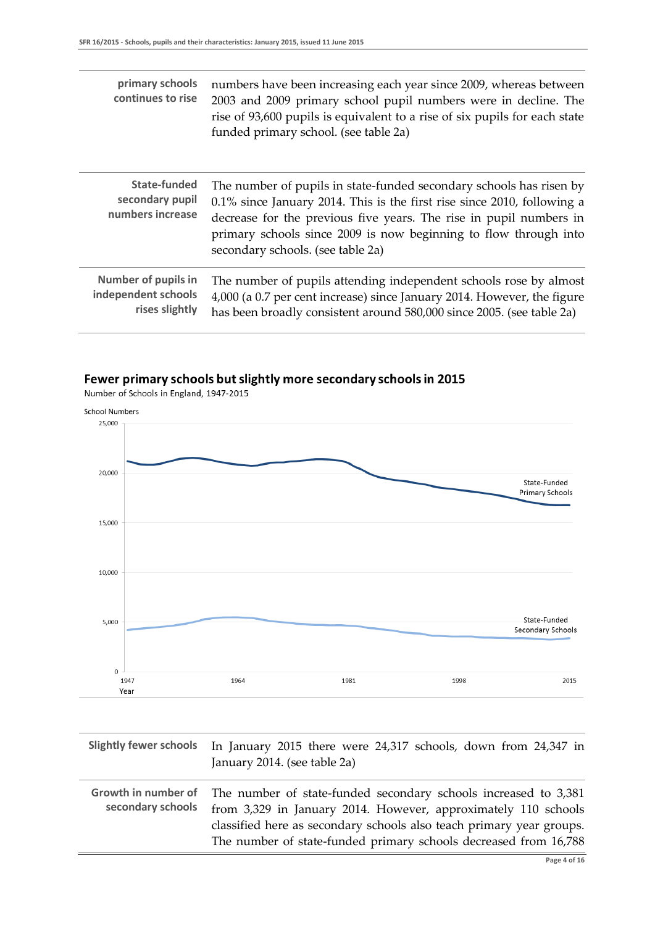| primary schools<br>continues to rise                                | numbers have been increasing each year since 2009, whereas between<br>2003 and 2009 primary school pupil numbers were in decline. The<br>rise of 93,600 pupils is equivalent to a rise of six pupils for each state<br>funded primary school. (see table 2a)                                                                     |
|---------------------------------------------------------------------|----------------------------------------------------------------------------------------------------------------------------------------------------------------------------------------------------------------------------------------------------------------------------------------------------------------------------------|
| State-funded<br>secondary pupil<br>numbers increase                 | The number of pupils in state-funded secondary schools has risen by<br>$0.1\%$ since January 2014. This is the first rise since 2010, following a<br>decrease for the previous five years. The rise in pupil numbers in<br>primary schools since 2009 is now beginning to flow through into<br>secondary schools. (see table 2a) |
| <b>Number of pupils in</b><br>independent schools<br>rises slightly | The number of pupils attending independent schools rose by almost<br>4,000 (a 0.7 per cent increase) since January 2014. However, the figure<br>has been broadly consistent around 580,000 since 2005. (see table 2a)                                                                                                            |

#### Fewer primary schools but slightly more secondary schools in 2015

Number of Schools in England, 1947-2015



| <b>Slightly fewer schools</b>            | In January 2015 there were 24,317 schools, down from 24,347 in<br>January 2014. (see table 2a)                                    |
|------------------------------------------|-----------------------------------------------------------------------------------------------------------------------------------|
| Growth in number of<br>secondary schools | The number of state-funded secondary schools increased to 3,381<br>from 3,329 in January 2014. However, approximately 110 schools |
|                                          | classified here as secondary schools also teach primary year groups.                                                              |
|                                          | The number of state-funded primary schools decreased from 16,788                                                                  |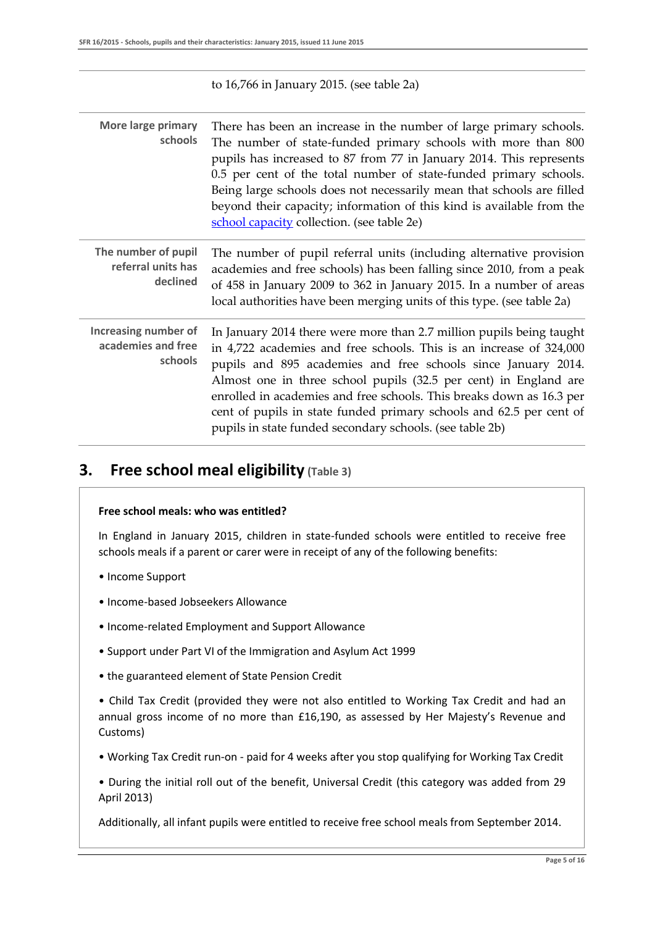| to $16,766$ in January 2015. (see table 2a) |  |
|---------------------------------------------|--|
|---------------------------------------------|--|

| More large primary<br>schools                                | There has been an increase in the number of large primary schools.<br>The number of state-funded primary schools with more than 800<br>pupils has increased to 87 from 77 in January 2014. This represents<br>0.5 per cent of the total number of state-funded primary schools.<br>Being large schools does not necessarily mean that schools are filled<br>beyond their capacity; information of this kind is available from the<br>school capacity collection. (see table 2e)             |
|--------------------------------------------------------------|---------------------------------------------------------------------------------------------------------------------------------------------------------------------------------------------------------------------------------------------------------------------------------------------------------------------------------------------------------------------------------------------------------------------------------------------------------------------------------------------|
| The number of pupil<br>referral units has<br>declined        | The number of pupil referral units (including alternative provision<br>academies and free schools) has been falling since 2010, from a peak<br>of 458 in January 2009 to 362 in January 2015. In a number of areas<br>local authorities have been merging units of this type. (see table 2a)                                                                                                                                                                                                |
| <b>Increasing number of</b><br>academies and free<br>schools | In January 2014 there were more than 2.7 million pupils being taught<br>in 4,722 academies and free schools. This is an increase of 324,000<br>pupils and 895 academies and free schools since January 2014.<br>Almost one in three school pupils (32.5 per cent) in England are<br>enrolled in academies and free schools. This breaks down as 16.3 per<br>cent of pupils in state funded primary schools and 62.5 per cent of<br>pupils in state funded secondary schools. (see table 2b) |

### **3. Free school meal eligibility (Table 3)**

#### **Free school meals: who was entitled?**

In England in January 2015, children in state-funded schools were entitled to receive free schools meals if a parent or carer were in receipt of any of the following benefits:

- Income Support
- Income-based Jobseekers Allowance
- Income-related Employment and Support Allowance
- Support under Part VI of the Immigration and Asylum Act 1999
- the guaranteed element of State Pension Credit

• Child Tax Credit (provided they were not also entitled to Working Tax Credit and had an annual gross income of no more than £16,190, as assessed by Her Majesty's Revenue and Customs)

• Working Tax Credit run-on - paid for 4 weeks after you stop qualifying for Working Tax Credit

• During the initial roll out of the benefit, Universal Credit (this category was added from 29 April 2013)

Additionally, all infant pupils were entitled to receive free school meals from September 2014.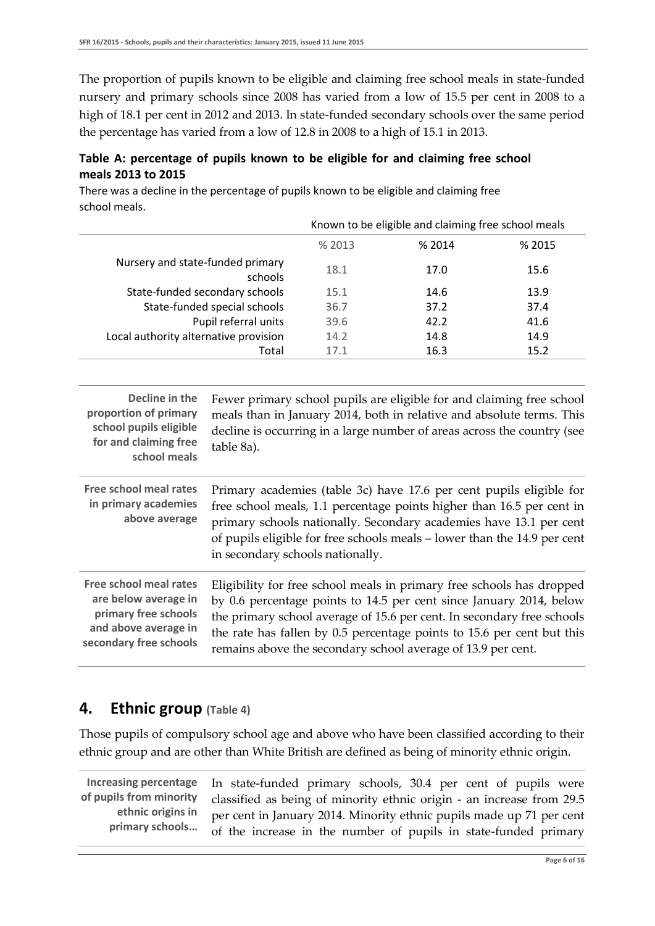The proportion of pupils known to be eligible and claiming free school meals in state-funded nursery and primary schools since 2008 has varied from a low of 15.5 per cent in 2008 to a high of 18.1 per cent in 2012 and 2013. In state-funded secondary schools over the same period the percentage has varied from a low of 12.8 in 2008 to a high of 15.1 in 2013.

#### **Table A: percentage of pupils known to be eligible for and claiming free school meals 2013 to 2015**

There was a decline in the percentage of pupils known to be eligible and claiming free school meals.

|                                             | Known to be eligible and claiming free school meals |        |        |
|---------------------------------------------|-----------------------------------------------------|--------|--------|
|                                             | % 2013                                              | % 2014 | % 2015 |
| Nursery and state-funded primary<br>schools | 18.1                                                | 17.0   | 15.6   |
| State-funded secondary schools              | 15.1                                                | 14.6   | 13.9   |
| State-funded special schools                | 36.7                                                | 37.2   | 37.4   |
| Pupil referral units                        | 39.6                                                | 42.2   | 41.6   |
| Local authority alternative provision       | 14.2                                                | 14.8   | 14.9   |
| Total                                       | 17.1                                                | 16.3   | 15.2   |

| Decline in the<br>proportion of primary<br>school pupils eligible<br>for and claiming free<br>school meals                      | Fewer primary school pupils are eligible for and claiming free school<br>meals than in January 2014, both in relative and absolute terms. This<br>decline is occurring in a large number of areas across the country (see<br>table 8a).                                                                                                                          |
|---------------------------------------------------------------------------------------------------------------------------------|------------------------------------------------------------------------------------------------------------------------------------------------------------------------------------------------------------------------------------------------------------------------------------------------------------------------------------------------------------------|
| Free school meal rates<br>in primary academies<br>above average                                                                 | Primary academies (table 3c) have 17.6 per cent pupils eligible for<br>free school meals, 1.1 percentage points higher than 16.5 per cent in<br>primary schools nationally. Secondary academies have 13.1 per cent<br>of pupils eligible for free schools meals – lower than the 14.9 per cent<br>in secondary schools nationally.                               |
| <b>Free school meal rates</b><br>are below average in<br>primary free schools<br>and above average in<br>secondary free schools | Eligibility for free school meals in primary free schools has dropped<br>by 0.6 percentage points to 14.5 per cent since January 2014, below<br>the primary school average of 15.6 per cent. In secondary free schools<br>the rate has fallen by 0.5 percentage points to 15.6 per cent but this<br>remains above the secondary school average of 13.9 per cent. |

### **4. Ethnic group (Table 4)**

Those pupils of compulsory school age and above who have been classified according to their ethnic group and are other than White British are defined as being of minority ethnic origin.

**Increasing percentage of pupils from minority ethnic origins in primary schools…**

In state-funded primary schools, 30.4 per cent of pupils were classified as being of minority ethnic origin - an increase from 29.5 per cent in January 2014. Minority ethnic pupils made up 71 per cent of the increase in the number of pupils in state-funded primary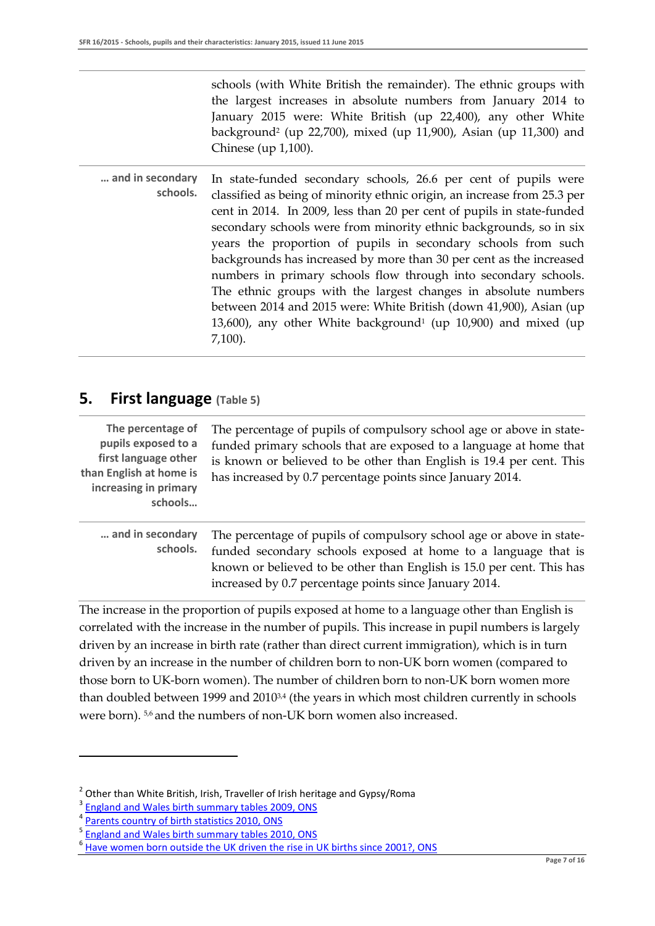schools (with White British the remainder). The ethnic groups with the largest increases in absolute numbers from January 2014 to January 2015 were: White British (up 22,400), any other White background<sup>2</sup> (up 22,700), mixed (up 11,900), Asian (up 11,300) and Chinese (up 1,100).

**… and in secondary schools.** In state-funded secondary schools, 26.6 per cent of pupils were classified as being of minority ethnic origin, an increase from 25.3 per cent in 2014. In 2009, less than 20 per cent of pupils in state-funded secondary schools were from minority ethnic backgrounds, so in six years the proportion of pupils in secondary schools from such backgrounds has increased by more than 30 per cent as the increased numbers in primary schools flow through into secondary schools. The ethnic groups with the largest changes in absolute numbers between 2014 and 2015 were: White British (down 41,900), Asian (up  $13,600$ ), any other White background<sup>1</sup> (up  $10,900$ ) and mixed (up 7,100).

#### **5. First language (Table 5)**

| The percentage of<br>pupils exposed to a<br>first language other<br>than English at home is<br>increasing in primary<br>schools | The percentage of pupils of compulsory school age or above in state-<br>funded primary schools that are exposed to a language at home that<br>is known or believed to be other than English is 19.4 per cent. This<br>has increased by 0.7 percentage points since January 2014. |
|---------------------------------------------------------------------------------------------------------------------------------|----------------------------------------------------------------------------------------------------------------------------------------------------------------------------------------------------------------------------------------------------------------------------------|
|---------------------------------------------------------------------------------------------------------------------------------|----------------------------------------------------------------------------------------------------------------------------------------------------------------------------------------------------------------------------------------------------------------------------------|

**… and in secondary schools.** The percentage of pupils of compulsory school age or above in statefunded secondary schools exposed at home to a language that is known or believed to be other than English is 15.0 per cent. This has increased by 0.7 percentage points since January 2014.

The increase in the proportion of pupils exposed at home to a language other than English is correlated with the increase in the number of pupils. This increase in pupil numbers is largely driven by an increase in birth rate (rather than direct current immigration), which is in turn driven by an increase in the number of children born to non-UK born women (compared to those born to UK-born women). The number of children born to non-UK born women more than doubled between 1999 and 2010<sup>3,4</sup> (the years in which most children currently in schools were born). <sup>5,6</sup> and the numbers of non-UK born women also increased.

1

<sup>&</sup>lt;sup>2</sup> Other than White British, Irish, Traveller of Irish heritage and Gypsy/Roma

 $\frac{3}{4}$  [England and Wales birth summary tables 2009, ONS](http://www.ons.gov.uk/ons/rel/vsob1/birth-summary-tables--england-and-wales/2009/birth-summary-tables--england-and-wales-2009.xls)

[Parents country of birth statistics 2010, ONS](http://www.ons.gov.uk/ons/rel/vsob1/parents--country-of-birth--england-and-wales/2010/births-in-england-and-wales-by-parents--country-of-birth--2010.html)

<sup>5</sup> England [and Wales birth summary tables 2010, ONS](http://www.ons.gov.uk/ons/rel/vsob1/birth-summary-tables--england-and-wales/2010/births-and-deaths-in-england-and-wales--2010-statistical-bulletin.pdf)

<sup>&</sup>lt;sup>6</sup> Have women born outside the UK [driven the rise in UK births since 2001?, ONS](http://www.ons.gov.uk/ons/rel/population-trends-rd/population-trends/no--136--summer-2009/have-women-born-outside-the-uk-driven-the-rise-in-uk-births-since-2001-.pdf)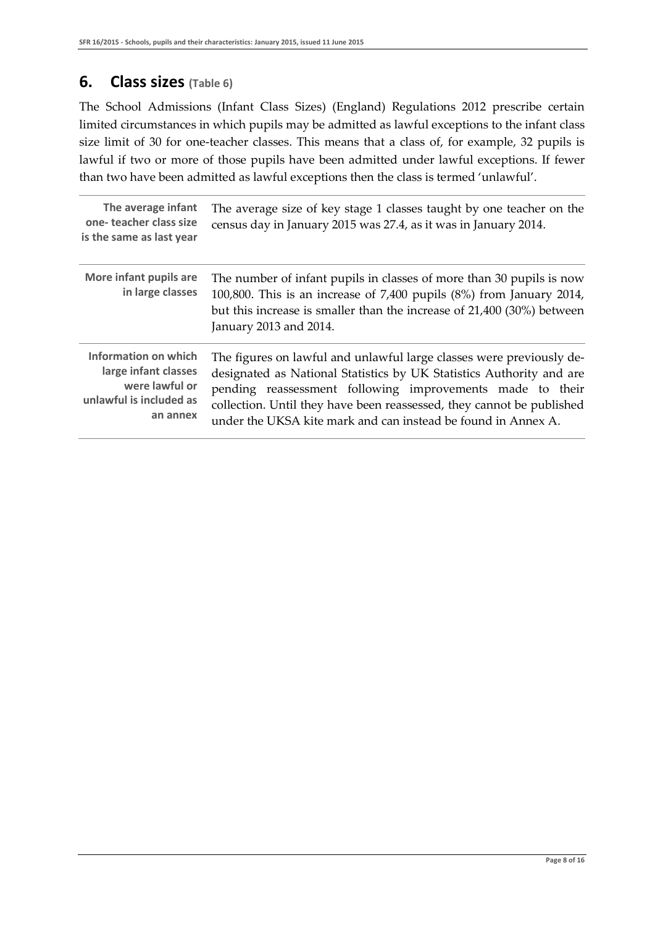### **6. Class sizes (Table 6)**

The School Admissions (Infant Class Sizes) (England) Regulations 2012 prescribe certain limited circumstances in which pupils may be admitted as lawful exceptions to the infant class size limit of 30 for one-teacher classes. This means that a class of, for example, 32 pupils is lawful if two or more of those pupils have been admitted under lawful exceptions. If fewer than two have been admitted as lawful exceptions then the class is termed 'unlawful'.

| The average infant<br>one-teacher class size<br>is the same as last year                              | The average size of key stage 1 classes taught by one teacher on the<br>census day in January 2015 was 27.4, as it was in January 2014.                                                                                                                                                                                                             |
|-------------------------------------------------------------------------------------------------------|-----------------------------------------------------------------------------------------------------------------------------------------------------------------------------------------------------------------------------------------------------------------------------------------------------------------------------------------------------|
| More infant pupils are<br>in large classes                                                            | The number of infant pupils in classes of more than 30 pupils is now<br>100,800. This is an increase of 7,400 pupils (8%) from January 2014,<br>but this increase is smaller than the increase of 21,400 (30%) between<br>January 2013 and 2014.                                                                                                    |
| Information on which<br>large infant classes<br>were lawful or<br>unlawful is included as<br>an annex | The figures on lawful and unlawful large classes were previously de-<br>designated as National Statistics by UK Statistics Authority and are<br>pending reassessment following improvements made to their<br>collection. Until they have been reassessed, they cannot be published<br>under the UKSA kite mark and can instead be found in Annex A. |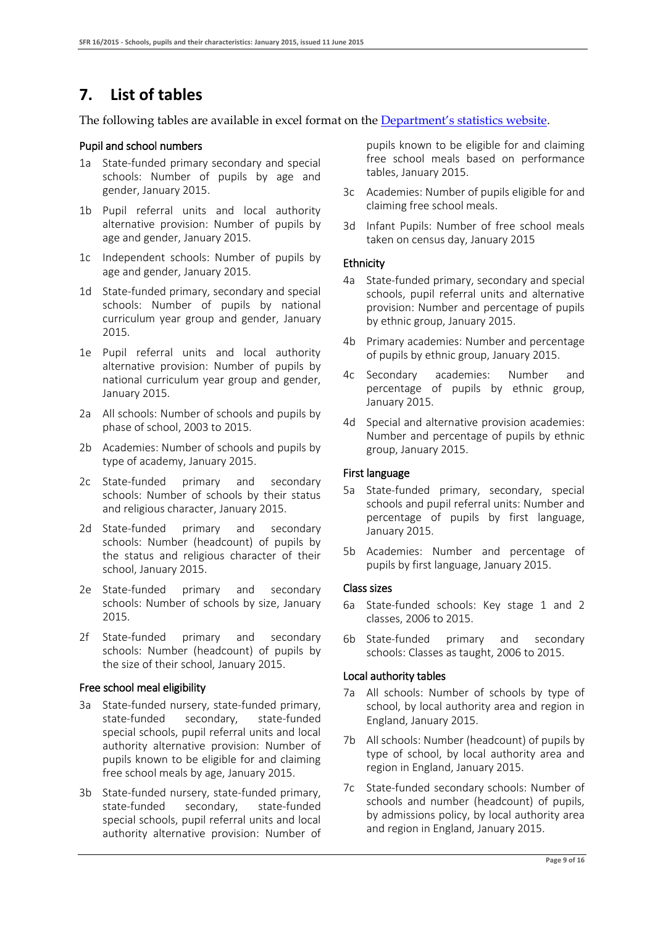### **7. List of tables**

The following tables are available in excel format on the [Department's statistics website](https://www.gov.uk/government/collections/statistics-school-and-pupil-numbers).

#### Pupil and school numbers

- 1a State-funded primary secondary and special schools: Number of pupils by age and gender, January 2015.
- 1b Pupil referral units and local authority alternative provision: Number of pupils by age and gender, January 2015.
- 1c Independent schools: Number of pupils by age and gender, January 2015.
- 1d State-funded primary, secondary and special schools: Number of pupils by national curriculum year group and gender, January 2015.
- 1e Pupil referral units and local authority alternative provision: Number of pupils by national curriculum year group and gender, January 2015.
- 2a All schools: Number of schools and pupils by phase of school, 2003 to 2015.
- 2b Academies: Number of schools and pupils by type of academy, January 2015.
- 2c State-funded primary and secondary schools: Number of schools by their status and religious character, January 2015.
- 2d State-funded primary and secondary schools: Number (headcount) of pupils by the status and religious character of their school, January 2015.
- 2e State-funded primary and secondary schools: Number of schools by size, January 2015.
- 2f State-funded primary and secondary schools: Number (headcount) of pupils by the size of their school, January 2015.

#### Free school meal eligibility

- 3a State-funded nursery, state-funded primary, state-funded secondary, state-funded special schools, pupil referral units and local authority alternative provision: Number of pupils known to be eligible for and claiming free school meals by age, January 2015.
- 3b State-funded nursery, state-funded primary, state-funded secondary, state-funded special schools, pupil referral units and local authority alternative provision: Number of

pupils known to be eligible for and claiming free school meals based on performance tables, January 2015.

- 3c Academies: Number of pupils eligible for and claiming free school meals.
- 3d Infant Pupils: Number of free school meals taken on census day, January 2015

#### Ethnicity

- 4a State-funded primary, secondary and special schools, pupil referral units and alternative provision: Number and percentage of pupils by ethnic group, January 2015.
- 4b Primary academies: Number and percentage of pupils by ethnic group, January 2015.
- 4c Secondary academies: Number and percentage of pupils by ethnic group, January 2015.
- 4d Special and alternative provision academies: Number and percentage of pupils by ethnic group, January 2015.

#### First language

- 5a State-funded primary, secondary, special schools and pupil referral units: Number and percentage of pupils by first language, January 2015.
- 5b Academies: Number and percentage of pupils by first language, January 2015.

#### Class sizes

- 6a State-funded schools: Key stage 1 and 2 classes, 2006 to 2015.
- 6b State-funded primary and secondary schools: Classes as taught, 2006 to 2015.

#### Local authority tables

- 7a All schools: Number of schools by type of school, by local authority area and region in England, January 2015.
- 7b All schools: Number (headcount) of pupils by type of school, by local authority area and region in England, January 2015.
- 7c State-funded secondary schools: Number of schools and number (headcount) of pupils, by admissions policy, by local authority area and region in England, January 2015.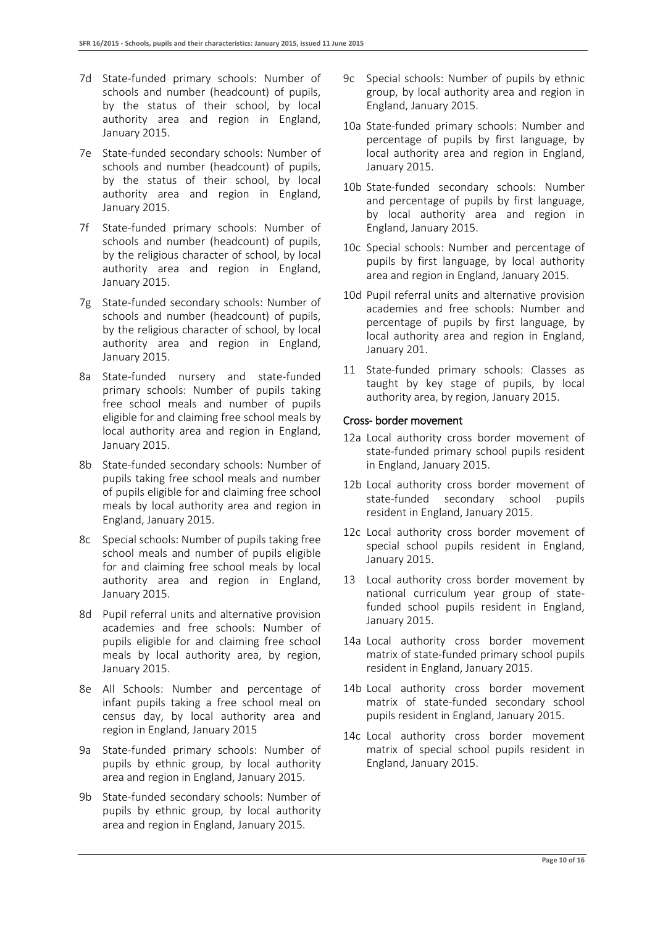- 7d State-funded primary schools: Number of schools and number (headcount) of pupils, by the status of their school, by local authority area and region in England, January 2015.
- 7e State-funded secondary schools: Number of schools and number (headcount) of pupils, by the status of their school, by local authority area and region in England, January 2015.
- 7f State-funded primary schools: Number of schools and number (headcount) of pupils, by the religious character of school, by local authority area and region in England, January 2015.
- 7g State-funded secondary schools: Number of schools and number (headcount) of pupils, by the religious character of school, by local authority area and region in England, January 2015.
- 8a State-funded nursery and state-funded primary schools: Number of pupils taking free school meals and number of pupils eligible for and claiming free school meals by local authority area and region in England, January 2015.
- 8b State-funded secondary schools: Number of pupils taking free school meals and number of pupils eligible for and claiming free school meals by local authority area and region in England, January 2015.
- 8c Special schools: Number of pupils taking free school meals and number of pupils eligible for and claiming free school meals by local authority area and region in England, January 2015.
- 8d Pupil referral units and alternative provision academies and free schools: Number of pupils eligible for and claiming free school meals by local authority area, by region, January 2015.
- 8e All Schools: Number and percentage of infant pupils taking a free school meal on census day, by local authority area and region in England, January 2015
- 9a State-funded primary schools: Number of pupils by ethnic group, by local authority area and region in England, January 2015.
- 9b State-funded secondary schools: Number of pupils by ethnic group, by local authority area and region in England, January 2015.
- 9c Special schools: Number of pupils by ethnic group, by local authority area and region in England, January 2015.
- 10a State-funded primary schools: Number and percentage of pupils by first language, by local authority area and region in England, January 2015.
- 10b State-funded secondary schools: Number and percentage of pupils by first language, by local authority area and region in England, January 2015.
- 10c Special schools: Number and percentage of pupils by first language, by local authority area and region in England, January 2015.
- 10d Pupil referral units and alternative provision academies and free schools: Number and percentage of pupils by first language, by local authority area and region in England, January 201.
- 11 State-funded primary schools: Classes as taught by key stage of pupils, by local authority area, by region, January 2015.

#### Cross- border movement

- 12a Local authority cross border movement of state-funded primary school pupils resident in England, January 2015.
- 12b Local authority cross border movement of state-funded secondary school pupils resident in England, January 2015.
- 12c Local authority cross border movement of special school pupils resident in England, January 2015.
- 13 Local authority cross border movement by national curriculum year group of statefunded school pupils resident in England, January 2015.
- 14a Local authority cross border movement matrix of state-funded primary school pupils resident in England, January 2015.
- 14b Local authority cross border movement matrix of state-funded secondary school pupils resident in England, January 2015.
- 14c Local authority cross border movement matrix of special school pupils resident in England, January 2015.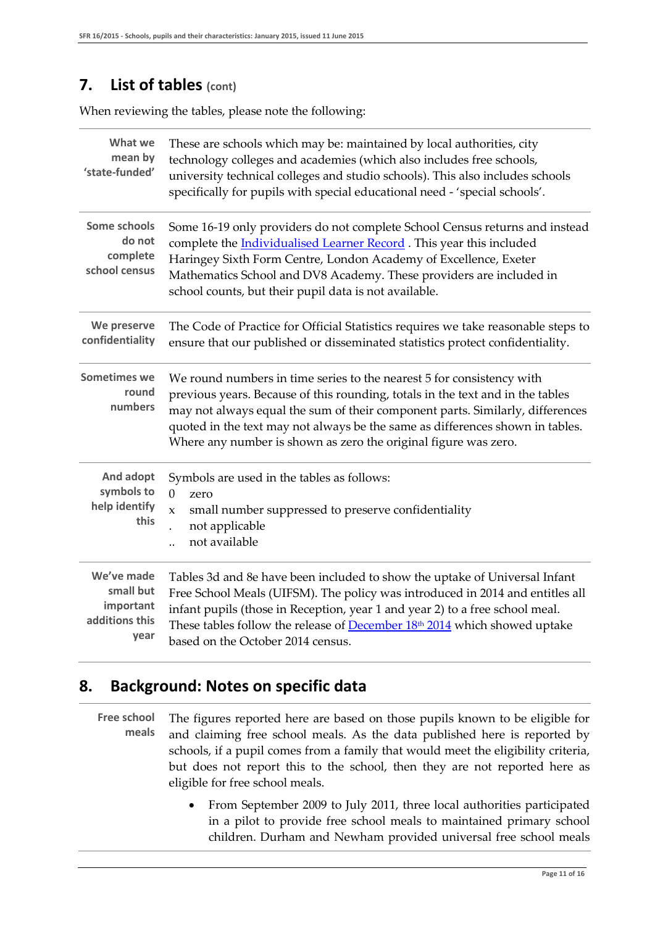### **7. List of tables (cont)**

When reviewing the tables, please note the following:

| What we<br>mean by<br>'state-funded'                           | These are schools which may be: maintained by local authorities, city<br>technology colleges and academies (which also includes free schools,<br>university technical colleges and studio schools). This also includes schools<br>specifically for pupils with special educational need - 'special schools'.                                                                                 |
|----------------------------------------------------------------|----------------------------------------------------------------------------------------------------------------------------------------------------------------------------------------------------------------------------------------------------------------------------------------------------------------------------------------------------------------------------------------------|
| Some schools<br>do not<br>complete<br>school census            | Some 16-19 only providers do not complete School Census returns and instead<br>complete the <i>Individualised Learner Record</i> . This year this included<br>Haringey Sixth Form Centre, London Academy of Excellence, Exeter<br>Mathematics School and DV8 Academy. These providers are included in<br>school counts, but their pupil data is not available.                               |
| We preserve<br>confidentiality                                 | The Code of Practice for Official Statistics requires we take reasonable steps to<br>ensure that our published or disseminated statistics protect confidentiality.                                                                                                                                                                                                                           |
| <b>Sometimes we</b><br>round<br>numbers                        | We round numbers in time series to the nearest 5 for consistency with<br>previous years. Because of this rounding, totals in the text and in the tables<br>may not always equal the sum of their component parts. Similarly, differences<br>quoted in the text may not always be the same as differences shown in tables.<br>Where any number is shown as zero the original figure was zero. |
| And adopt<br>symbols to<br>help identify<br>this               | Symbols are used in the tables as follows:<br>$\theta$<br>zero<br>small number suppressed to preserve confidentiality<br>$\mathbf{x}$<br>not applicable<br>not available                                                                                                                                                                                                                     |
| We've made<br>small but<br>important<br>additions this<br>year | Tables 3d and 8e have been included to show the uptake of Universal Infant<br>Free School Meals (UIFSM). The policy was introduced in 2014 and entitles all<br>infant pupils (those in Reception, year 1 and year 2) to a free school meal.<br>These tables follow the release of December 18 <sup>th</sup> 2014 which showed uptake<br>based on the October 2014 census.                    |

### **8. Background: Notes on specific data**

- **Free school meals** The figures reported here are based on those pupils known to be eligible for and claiming free school meals. As the data published here is reported by schools, if a pupil comes from a family that would meet the eligibility criteria, but does not report this to the school, then they are not reported here as eligible for free school meals.
	- From September 2009 to July 2011, three local authorities participated in a pilot to provide free school meals to maintained primary school children. Durham and Newham provided universal free school meals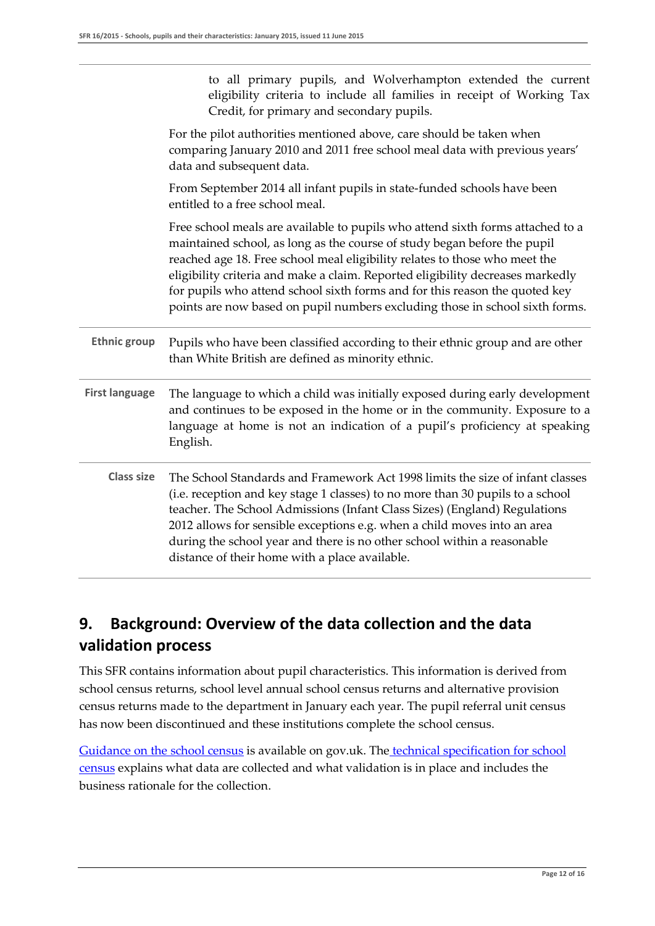|                       | to all primary pupils, and Wolverhampton extended the current<br>eligibility criteria to include all families in receipt of Working Tax<br>Credit, for primary and secondary pupils.                                                                                                                                                                                                                                                                                                      |
|-----------------------|-------------------------------------------------------------------------------------------------------------------------------------------------------------------------------------------------------------------------------------------------------------------------------------------------------------------------------------------------------------------------------------------------------------------------------------------------------------------------------------------|
|                       | For the pilot authorities mentioned above, care should be taken when<br>comparing January 2010 and 2011 free school meal data with previous years'<br>data and subsequent data.                                                                                                                                                                                                                                                                                                           |
|                       | From September 2014 all infant pupils in state-funded schools have been<br>entitled to a free school meal.                                                                                                                                                                                                                                                                                                                                                                                |
|                       | Free school meals are available to pupils who attend sixth forms attached to a<br>maintained school, as long as the course of study began before the pupil<br>reached age 18. Free school meal eligibility relates to those who meet the<br>eligibility criteria and make a claim. Reported eligibility decreases markedly<br>for pupils who attend school sixth forms and for this reason the quoted key<br>points are now based on pupil numbers excluding those in school sixth forms. |
| <b>Ethnic group</b>   | Pupils who have been classified according to their ethnic group and are other<br>than White British are defined as minority ethnic.                                                                                                                                                                                                                                                                                                                                                       |
| <b>First language</b> | The language to which a child was initially exposed during early development<br>and continues to be exposed in the home or in the community. Exposure to a<br>language at home is not an indication of a pupil's proficiency at speaking<br>English.                                                                                                                                                                                                                                      |
| <b>Class size</b>     | The School Standards and Framework Act 1998 limits the size of infant classes<br>(i.e. reception and key stage 1 classes) to no more than 30 pupils to a school<br>teacher. The School Admissions (Infant Class Sizes) (England) Regulations<br>2012 allows for sensible exceptions e.g. when a child moves into an area<br>during the school year and there is no other school within a reasonable<br>distance of their home with a place available.                                     |

### **9. Background: Overview of the data collection and the data validation process**

This SFR contains information about pupil characteristics. This information is derived from school census returns, school level annual school census returns and alternative provision census returns made to the department in January each year. The pupil referral unit census has now been discontinued and these institutions complete the school census.

[Guidance on the school census](https://www.gov.uk/government/collections/school-census) is available on gov.uk. The technical specification for school [census](https://www.gov.uk/government/publications/school-census-autumn-2014-to-summer-2015-technical-specfication) explains what data are collected and what validation is in place and includes the business rationale for the collection.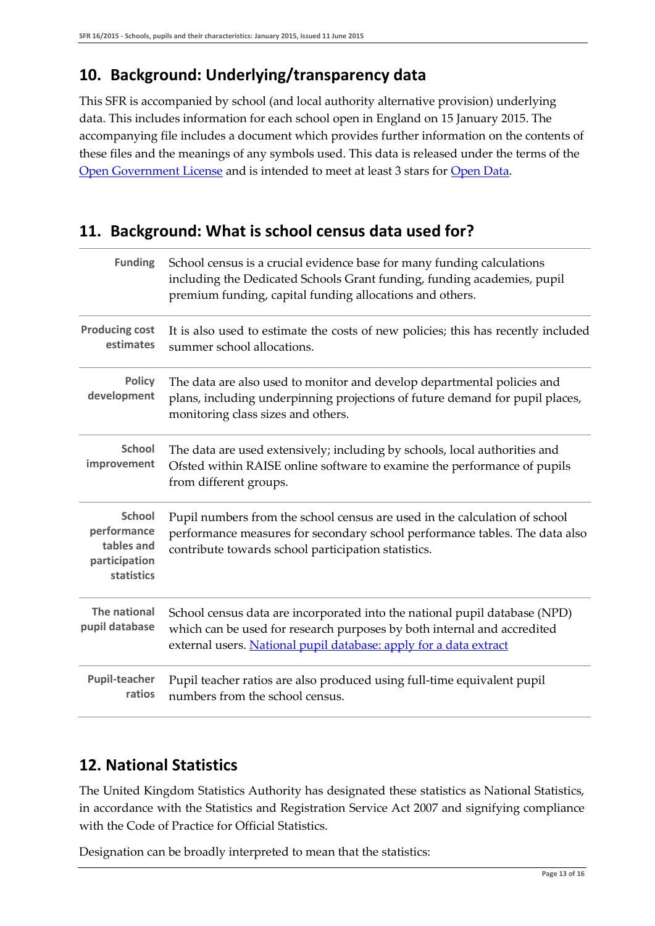### **10. Background: Underlying/transparency data**

This SFR is accompanied by school (and local authority alternative provision) underlying data. This includes information for each school open in England on 15 January 2015. The accompanying file includes a document which provides further information on the contents of these files and the meanings of any symbols used. This data is released under the terms of the [Open Government License](http://www.nationalarchives.gov.uk/doc/open-government-licence/) and is intended to meet at least 3 stars for [Open Data.](https://www.gov.uk/government/policies/improving-the-transparency-and-accountability-of-government-and-its-services/supporting-pages/releasing-data-in-open-formats)

### **11. Background: What is school census data used for?**

| <b>Funding</b>                                                            | School census is a crucial evidence base for many funding calculations<br>including the Dedicated Schools Grant funding, funding academies, pupil<br>premium funding, capital funding allocations and others.              |
|---------------------------------------------------------------------------|----------------------------------------------------------------------------------------------------------------------------------------------------------------------------------------------------------------------------|
| <b>Producing cost</b><br>estimates                                        | It is also used to estimate the costs of new policies; this has recently included<br>summer school allocations.                                                                                                            |
| <b>Policy</b><br>development                                              | The data are also used to monitor and develop departmental policies and<br>plans, including underpinning projections of future demand for pupil places,<br>monitoring class sizes and others.                              |
| <b>School</b><br>improvement                                              | The data are used extensively; including by schools, local authorities and<br>Ofsted within RAISE online software to examine the performance of pupils<br>from different groups.                                           |
| <b>School</b><br>performance<br>tables and<br>participation<br>statistics | Pupil numbers from the school census are used in the calculation of school<br>performance measures for secondary school performance tables. The data also<br>contribute towards school participation statistics.           |
| The national<br>pupil database                                            | School census data are incorporated into the national pupil database (NPD)<br>which can be used for research purposes by both internal and accredited<br>external users. National pupil database: apply for a data extract |
| <b>Pupil-teacher</b><br>ratios                                            | Pupil teacher ratios are also produced using full-time equivalent pupil<br>numbers from the school census.                                                                                                                 |

### **12. National Statistics**

The United Kingdom Statistics Authority has designated these statistics as National Statistics, in accordance with the Statistics and Registration Service Act 2007 and signifying compliance with the Code of Practice for Official Statistics.

Designation can be broadly interpreted to mean that the statistics: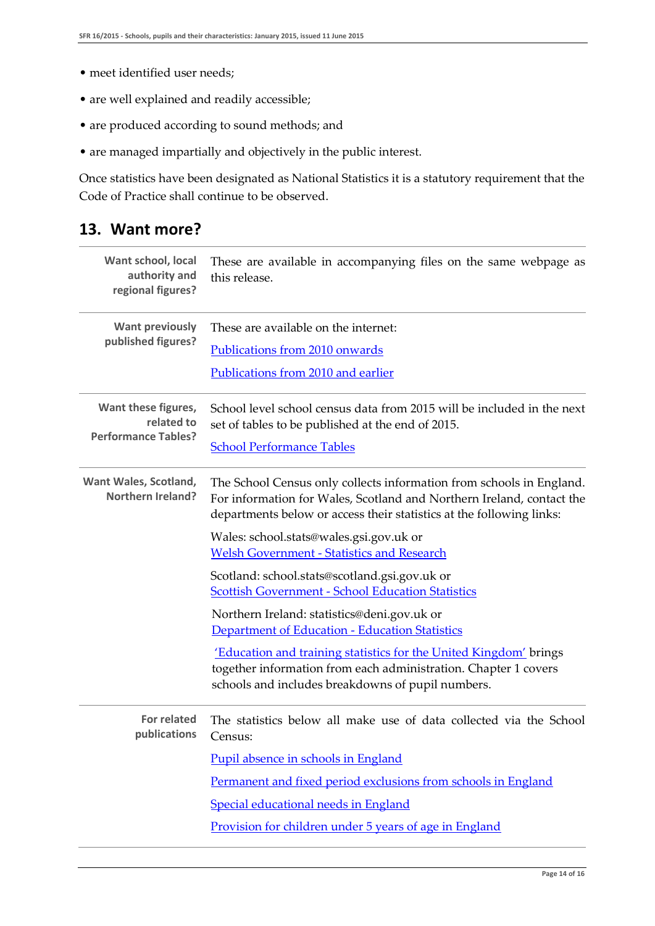- meet identified user needs;
- are well explained and readily accessible;
- are produced according to sound methods; and
- are managed impartially and objectively in the public interest.

Once statistics have been designated as National Statistics it is a statutory requirement that the Code of Practice shall continue to be observed.

### **13. Want more?**

| Want school, local<br>authority and<br>regional figures?        | These are available in accompanying files on the same webpage as<br>this release.                                                                                                                                     |
|-----------------------------------------------------------------|-----------------------------------------------------------------------------------------------------------------------------------------------------------------------------------------------------------------------|
| <b>Want previously</b>                                          | These are available on the internet:                                                                                                                                                                                  |
| published figures?                                              | Publications from 2010 onwards                                                                                                                                                                                        |
|                                                                 | Publications from 2010 and earlier                                                                                                                                                                                    |
| Want these figures,<br>related to<br><b>Performance Tables?</b> | School level school census data from 2015 will be included in the next<br>set of tables to be published at the end of 2015.                                                                                           |
|                                                                 | <b>School Performance Tables</b>                                                                                                                                                                                      |
| Want Wales, Scotland,<br><b>Northern Ireland?</b>               | The School Census only collects information from schools in England.<br>For information for Wales, Scotland and Northern Ireland, contact the<br>departments below or access their statistics at the following links: |
|                                                                 | Wales: school.stats@wales.gsi.gov.uk or<br><b>Welsh Government - Statistics and Research</b>                                                                                                                          |
|                                                                 | Scotland: school.stats@scotland.gsi.gov.uk or<br><b>Scottish Government - School Education Statistics</b>                                                                                                             |
|                                                                 | Northern Ireland: statistics@deni.gov.uk or<br>Department of Education - Education Statistics                                                                                                                         |
|                                                                 | 'Education and training statistics for the United Kingdom' brings<br>together information from each administration. Chapter 1 covers<br>schools and includes breakdowns of pupil numbers.                             |
| <b>For related</b><br>publications                              | The statistics below all make use of data collected via the School<br>Census:                                                                                                                                         |
|                                                                 | Pupil absence in schools in England                                                                                                                                                                                   |
|                                                                 | Permanent and fixed period exclusions from schools in England                                                                                                                                                         |
|                                                                 | Special educational needs in England                                                                                                                                                                                  |
|                                                                 | Provision for children under 5 years of age in England                                                                                                                                                                |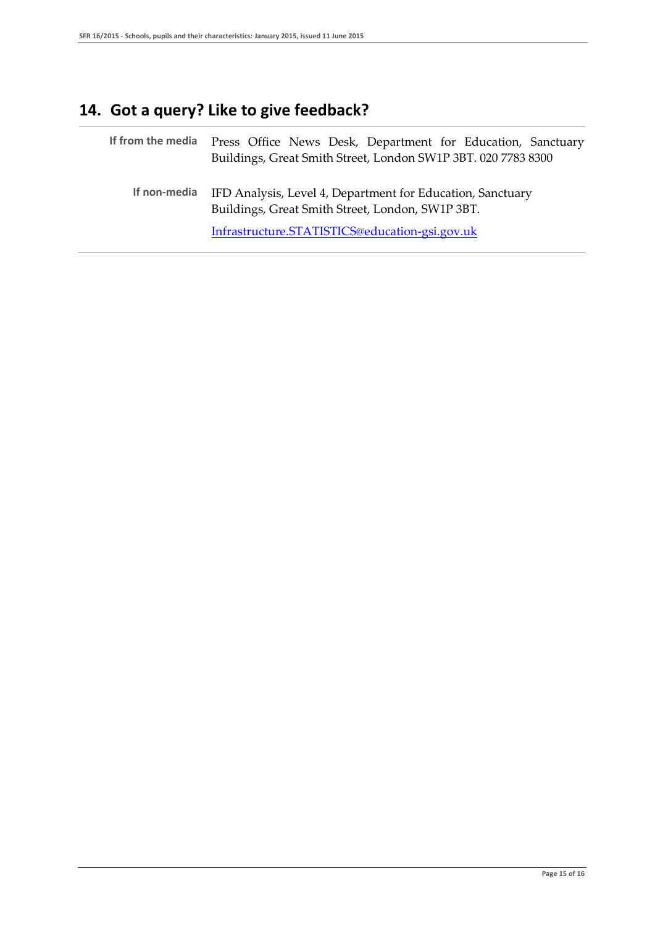## **14. Got a query? Like to give feedback?**

|              | If from the media Press Office News Desk, Department for Education, Sanctuary<br>Buildings, Great Smith Street, London SW1P 3BT. 020 7783 8300 |
|--------------|------------------------------------------------------------------------------------------------------------------------------------------------|
| If non-media | IFD Analysis, Level 4, Department for Education, Sanctuary<br>Buildings, Great Smith Street, London, SW1P 3BT.                                 |
|              | Infrastructure.STATISTICS@education-gsi.gov.uk                                                                                                 |